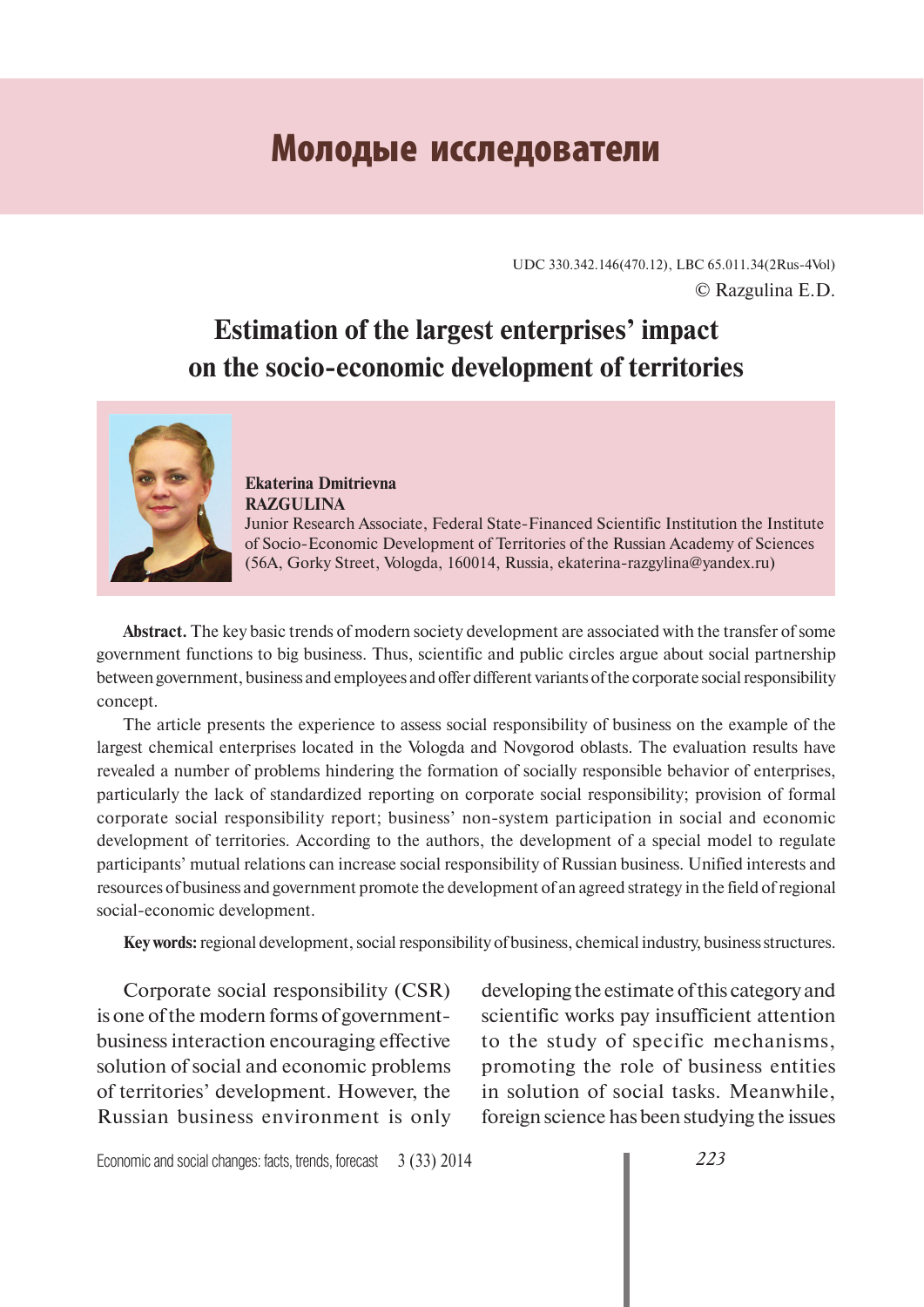# **Молодые исследователи**

UDC 330.342.146(470.12), LBC 65.011.34(2Rus-4Vol) © Razgulina E.D.

# **Estimation of the largest enterprises' impact on the socio-economic development of territories**



**Ekaterina Dmitrievna RAZGULINA** Junior Research Associate, Federal State-Financed Scientific Institution the Institute of Socio-Economic Development of Territories of the Russian Academy of Sciences (56A, Gorky Street, Vologda, 160014, Russia, ekaterina-razgylina@yandex.ru)

**Abstract.** The key basic trends of modern society development are associated with the transfer of some government functions to big business. Thus, scientific and public circles argue about social partnership between government, business and employees and offer different variants of the corporate social responsibility concept.

The article presents the experience to assess social responsibility of business on the example of the largest chemical enterprises located in the Vologda and Novgorod oblasts. The evaluation results have revealed a number of problems hindering the formation of socially responsible behavior of enterprises, particularly the lack of standardized reporting on corporate social responsibility; provision of formal corporate social responsibility report; business' non-system participation in social and economic development of territories. According to the authors, the development of a special model to regulate participants' mutual relations can increase social responsibility of Russian business. Unified interests and resources of business and government promote the development of an agreed strategy in the field of regional social-economic development.

**Key words:** regional development, social responsibility of business, chemical industry, business structures.

 Corporate social responsibility (CSR) is one of the modern forms of governmentbusiness interaction encouraging effective solution of social and economic problems of territories' development. However, the Russian business environment is only developing the estimate of this category and scientific works pay insufficient attention to the study of specific mechanisms, promoting the role of business entities in solution of social tasks. Meanwhile, foreign science has been studying the issues

Economic and social changes: facts, trends, forecast 3 (33) 2014 *223*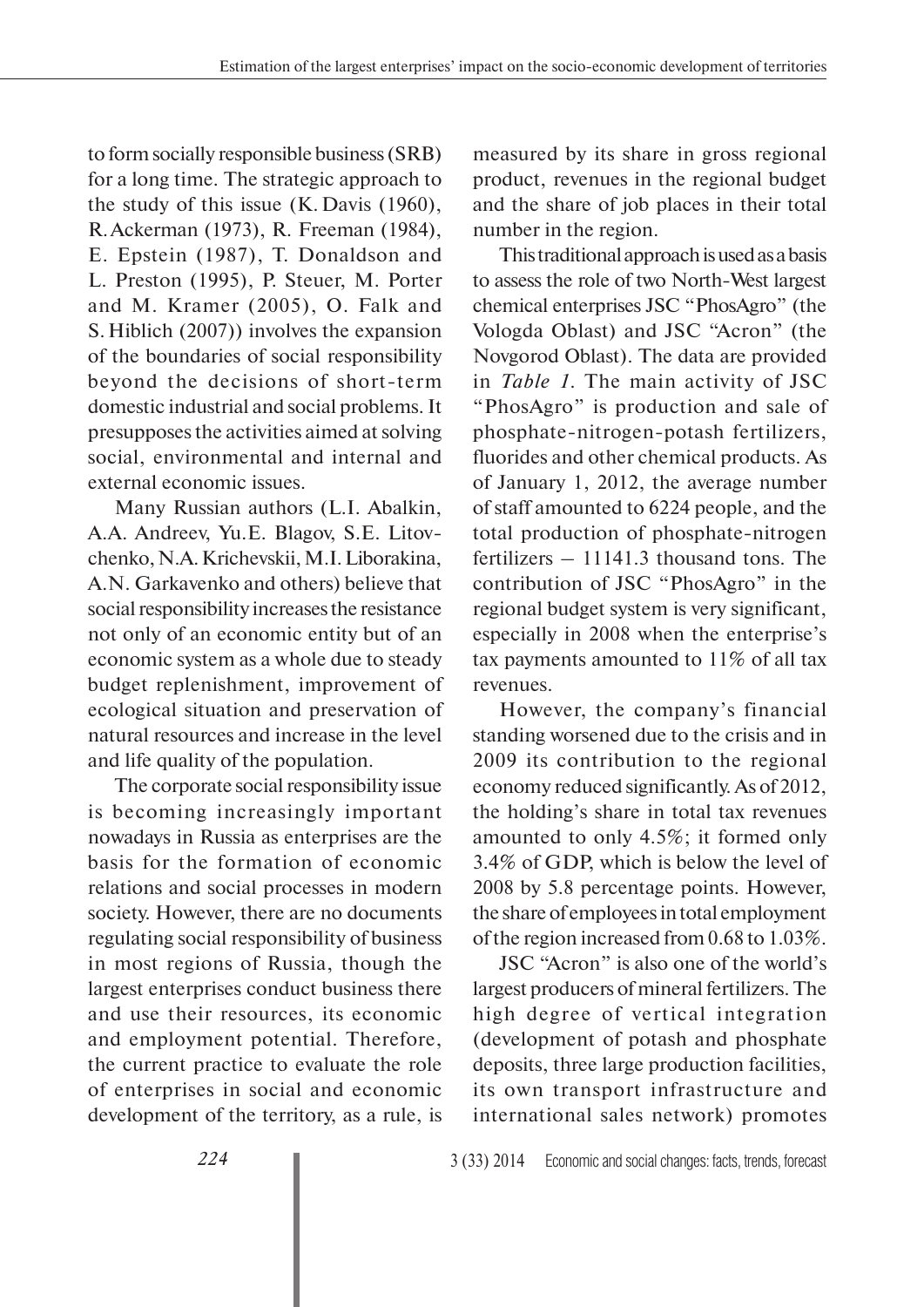to form socially responsible business (SRB) for a long time. The strategic approach to the study of this issue (K. Davis (1960), R. Ackerman (1973), R. Freeman (1984), E. Epstein (1987), T. Donaldson and L. Preston (1995), P. Steuer, M. Porter and M. Kramer (2005), O. Falk and S. Hiblich (2007)) involves the expansion of the boundaries of social responsibility beyond the decisions of short-term domestic industrial and social problems. It presupposes the activities aimed at solving social, environmental and internal and external economic issues.

Many Russian authors (L.I. Abalkin, A.A. Andreev, Yu.E. Blagov, S.E. Litovchenko, N.A. Krichevskii, M.I. Liborakina, A.N. Garkavenko and others) believe that social responsibility increases the resistance not only of an economic entity but of an economic system as a whole due to steady budget replenishment, improvement of ecological situation and preservation of natural resources and increase in the level and life quality of the population.

The corporate social responsibility issue is becoming increasingly important nowadays in Russia as enterprises are the basis for the formation of economic relations and social processes in modern society. However, there are no documents regulating social responsibility of business in most regions of Russia, though the largest enterprises conduct business there and use their resources, its economic and employment potential. Therefore, the current practice to evaluate the role of enterprises in social and economic development of the territory, as a rule, is

measured by its share in gross regional product, revenues in the regional budget and the share of job places in their total number in the region.

This traditional approach is used as a basis to assess the role of two North-West largest chemical enterprises JSC "PhosAgro" (the Vologda Oblast) and JSC "Acron" (the Novgorod Oblast). The data are provided in *Table 1*. The main activity of JSC "PhosAgro" is production and sale of phosphate-nitrogen-potash fertilizers, fluorides and other chemical products. As of January 1, 2012, the average number of staff amounted to 6224 people, and the total production of phosphate-nitrogen fertilizers – 11141.3 thousand tons. The contribution of JSC "PhosAgro" in the regional budget system is very significant, especially in 2008 when the enterprise's tax payments amounted to 11% of all tax revenues.

However, the company's financial standing worsened due to the crisis and in 2009 its contribution to the regional economy reduced significantly. As of 2012, the holding's share in total tax revenues amounted to only 4.5%; it formed only 3.4% of GDP, which is below the level of 2008 by 5.8 percentage points. However, the share of employees in total employment of the region increased from 0.68 to 1.03%.

JSC "Acron" is also one of the world's largest producers of mineral fertilizers. The high degree of vertical integration (development of potash and phosphate deposits, three large production facilities, its own transport infrastructure and international sales network) promotes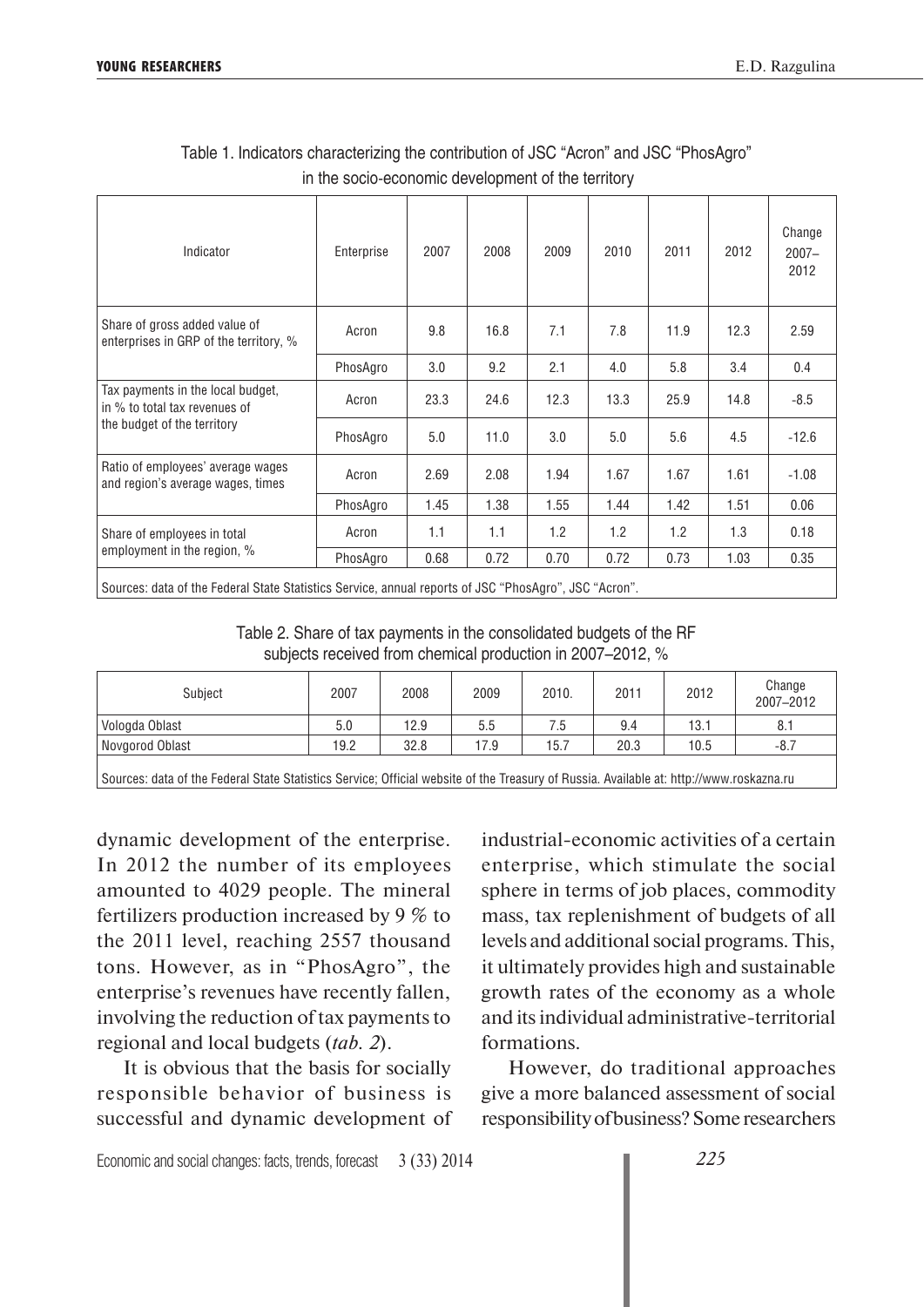| Indicator                                                                                            | Enterprise | 2007 | 2008 | 2009 | 2010 | 2011 | 2012 | Change<br>$2007 -$<br>2012 |
|------------------------------------------------------------------------------------------------------|------------|------|------|------|------|------|------|----------------------------|
| Share of gross added value of<br>enterprises in GRP of the territory, %                              | Acron      | 9.8  | 16.8 | 7.1  | 7.8  | 11.9 | 12.3 | 2.59                       |
|                                                                                                      | PhosAgro   | 3.0  | 9.2  | 2.1  | 4.0  | 5.8  | 3.4  | 0.4                        |
| Tax payments in the local budget,<br>in % to total tax revenues of                                   | Acron      | 23.3 | 24.6 | 12.3 | 13.3 | 25.9 | 14.8 | $-8.5$                     |
| the budget of the territory                                                                          | PhosAgro   | 5.0  | 11.0 | 3.0  | 5.0  | 5.6  | 4.5  | $-12.6$                    |
| Ratio of employees' average wages<br>and region's average wages, times                               | Acron      | 2.69 | 2.08 | 1.94 | 1.67 | 1.67 | 1.61 | $-1.08$                    |
|                                                                                                      | PhosAgro   | 1.45 | 1.38 | 1.55 | 1.44 | 1.42 | 1.51 | 0.06                       |
| Share of employees in total                                                                          | Acron      | 1.1  | 1.1  | 1.2  | 1.2  | 1.2  | 1.3  | 0.18                       |
| employment in the region, %                                                                          | PhosAgro   | 0.68 | 0.72 | 0.70 | 0.72 | 0.73 | 1.03 | 0.35                       |
| "Sources: data of the Federal State Statistics Service, annual renorts of JSC "PhosAgro", JSC "Acron |            |      |      |      |      |      |      |                            |

Table 1. Indicators characterizing the contribution of JSC "Acron" and JSC "PhosAgro" in the socio-economic development of the territory

Sources: data of the Federal State Statistics Service, annual reports of JSC "PhosAgro", JSC "Acron".

Table 2. Share of tax payments in the consolidated budgets of the RF subjects received from chemical production in 2007–2012, %

| Subject         | 2007 | 2008 | 2009 | 2010. | 2011 | 2012 | Change<br>2007-2012 |
|-----------------|------|------|------|-------|------|------|---------------------|
| Vologda Oblast  | 5.0  | 12.9 | 5.5  | 6. /  | 9.4  | 13.1 | 8.1                 |
| Novgorod Oblast | 19.2 | 32.8 | 17.9 | 15.7  | 20.3 | 10.5 | $-8.7$              |
|                 |      |      |      |       |      |      |                     |

Sources: data of the Federal State Statistics Service; Official website of the Treasury of Russia. Available at: http://www.roskazna.ru

dynamic development of the enterprise. In 2012 the number of its employees amounted to 4029 people. The mineral fertilizers production increased by 9 % to the 2011 level, reaching 2557 thousand tons. However, as in "PhosAgro", the enterprise's revenues have recently fallen, involving the reduction of tax payments to regional and local budgets (*tab. 2*).

It is obvious that the basis for socially responsible behavior of business is successful and dynamic development of industrial-economic activities of a certain enterprise, which stimulate the social sphere in terms of job places, commodity mass, tax replenishment of budgets of all levels and additional social programs. This, it ultimately provides high and sustainable growth rates of the economy as a whole and its individual administrative-territorial formations.

However, do traditional approaches give a more balanced assessment of social responsibility of business? Some researchers

Economic and social changes: facts, trends, forecast 3 (33) 2014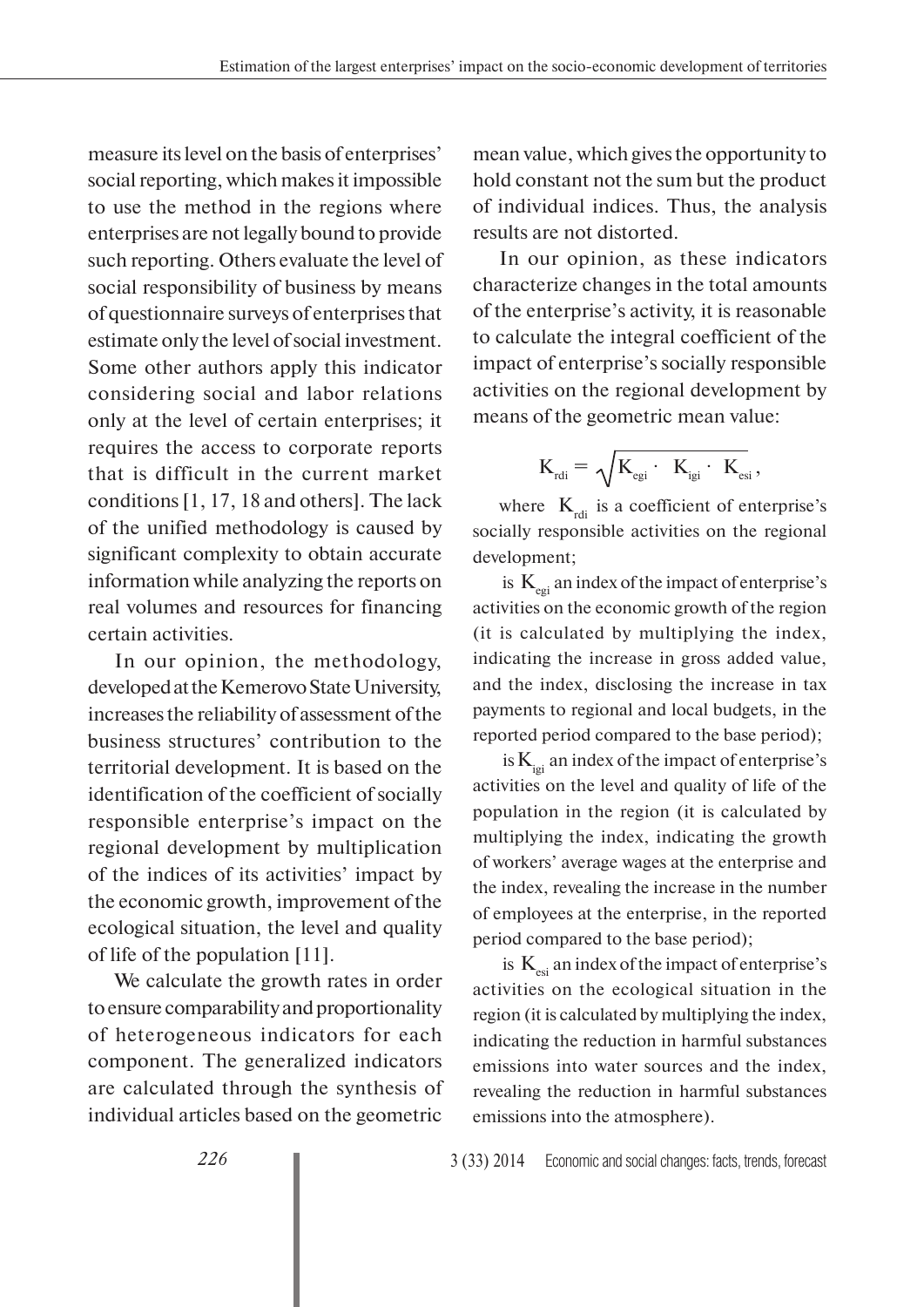measure its level on the basis of enterprises' social reporting, which makes it impossible to use the method in the regions where enterprises are not legally bound to provide such reporting. Others evaluate the level of social responsibility of business by means of questionnaire surveys of enterprises that estimate only the level of social investment. Some other authors apply this indicator considering social and labor relations only at the level of certain enterprises; it requires the access to corporate reports that is difficult in the current market conditions [1, 17, 18 and others]. The lack of the unified methodology is caused by significant complexity to obtain accurate information while analyzing the reports on real volumes and resources for financing certain activities.

In our opinion, the methodology, developed at the Kemerovo State University, increases the reliability of assessment of the business structures' contribution to the territorial development. It is based on the identification of the coefficient of socially responsible enterprise's impact on the regional development by multiplication of the indices of its activities' impact by the economic growth, improvement of the ecological situation, the level and quality of life of the population [11].

We calculate the growth rates in order to ensure comparability and proportionality of heterogeneous indicators for each component. The generalized indicators are calculated through the synthesis of individual articles based on the geometric

mean value, which gives the opportunity to hold constant not the sum but the product of individual indices. Thus, the analysis results are not distorted.

In our opinion, as these indicators characterize changes in the total amounts of the enterprise's activity, it is reasonable to calculate the integral coefficient of the impact of enterprise's socially responsible activities on the regional development by means of the geometric mean value:

$$
\mathbf{K}_{_{\textrm{rdi}}}=\sqrt{\mathbf{K}_{_{\textrm{egi}}}\cdot\ \mathbf{K}_{_{\textrm{igi}}}\cdot\ \mathbf{K}_{_{\textrm{esi}}}},
$$

where  $K_{\text{rdi}}$  is a coefficient of enterprise's socially responsible activities on the regional development;

is  $K_{\text{eq}}$  an index of the impact of enterprise's activities on the economic growth of the region (it is calculated by multiplying the index, indicating the increase in gross added value, and the index, disclosing the increase in tax payments to regional and local budgets, in the reported period compared to the base period);

is  $K_{i_{e i}}$  an index of the impact of enterprise's activities on the level and quality of life of the population in the region (it is calculated by multiplying the index, indicating the growth of workers' average wages at the enterprise and the index, revealing the increase in the number of employees at the enterprise, in the reported period compared to the base period);

is  $K_{\text{esi}}$  an index of the impact of enterprise's activities on the ecological situation in the region (it is calculated by multiplying the index, indicating the reduction in harmful substances emissions into water sources and the index, revealing the reduction in harmful substances emissions into the atmosphere).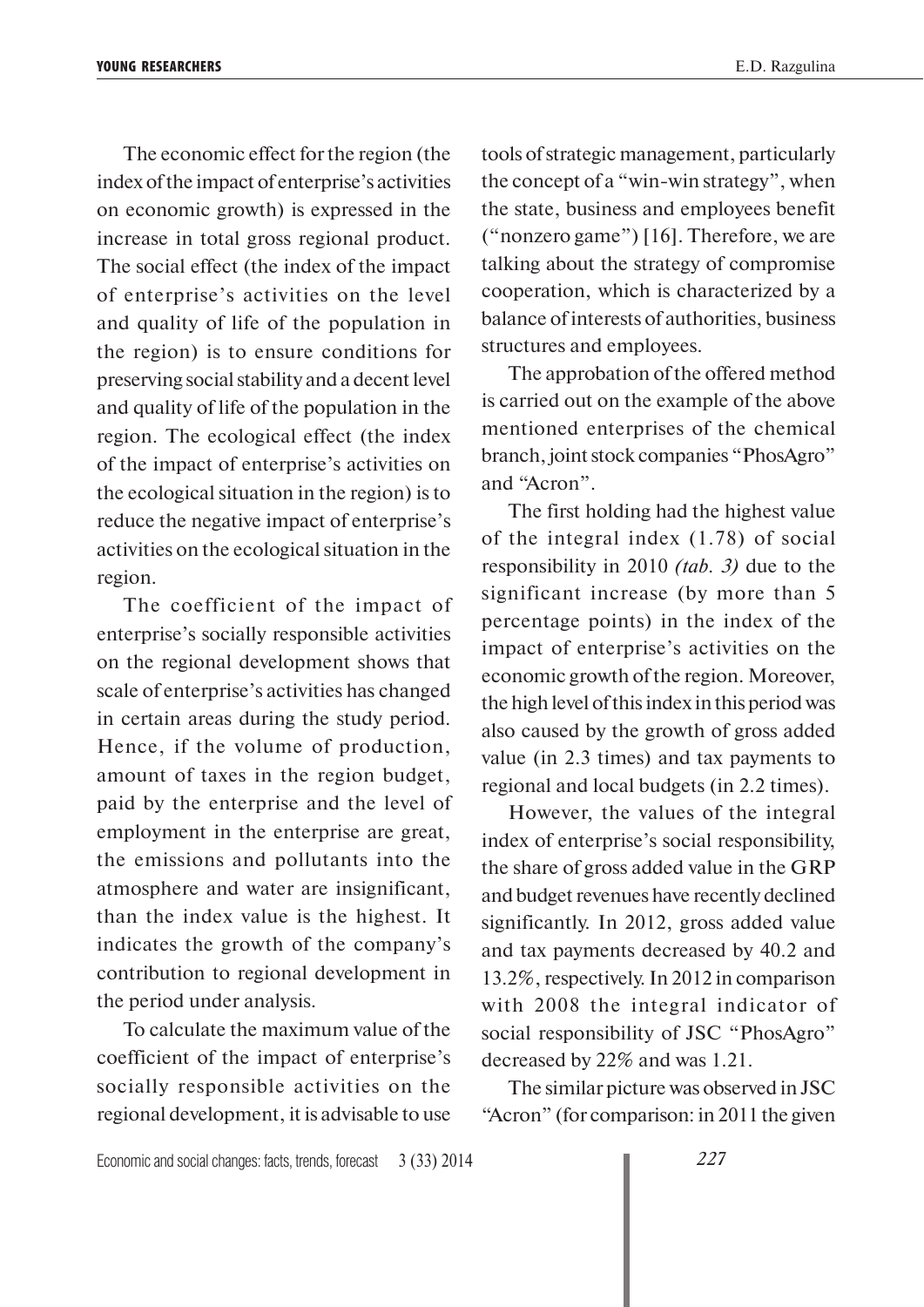The economic effect for the region (the index of the impact of enterprise's activities on economic growth) is expressed in the increase in total gross regional product. The social effect (the index of the impact of enterprise's activities on the level and quality of life of the population in the region) is to ensure conditions for preserving social stability and a decent level and quality of life of the population in the region. The ecological effect (the index of the impact of enterprise's activities on the ecological situation in the region) is to reduce the negative impact of enterprise's activities on the ecological situation in the region.

The coefficient of the impact of enterprise's socially responsible activities on the regional development shows that scale of enterprise's activities has changed in certain areas during the study period. Hence, if the volume of production, amount of taxes in the region budget, paid by the enterprise and the level of employment in the enterprise are great, the emissions and pollutants into the atmosphere and water are insignificant, than the index value is the highest. It indicates the growth of the company's contribution to regional development in the period under analysis.

To calculate the maximum value of the coefficient of the impact of enterprise's socially responsible activities on the regional development, it is advisable to use

tools of strategic management, particularly the concept of a "win-win strategy", when the state, business and employees benefit ("nonzero game") [16]. Therefore, we are talking about the strategy of compromise cooperation, which is characterized by a balance of interests of authorities, business structures and employees.

The approbation of the offered method is carried out on the example of the above mentioned enterprises of the chemical branch, joint stock companies "PhosAgro" and "Acron".

The first holding had the highest value of the integral index (1.78) of social responsibility in 2010 *(tab. 3)* due to the significant increase (by more than 5 percentage points) in the index of the impact of enterprise's activities on the economic growth of the region. Moreover, the high level of this index in this period was also caused by the growth of gross added value (in 2.3 times) and tax payments to regional and local budgets (in 2.2 times).

However, the values of the integral index of enterprise's social responsibility, the share of gross added value in the GRP and budget revenues have recently declined significantly. In 2012, gross added value and tax payments decreased by 40.2 and 13.2%, respectively. In 2012 in comparison with 2008 the integral indicator of social responsibility of JSC "PhosAgro" decreased by 22% and was 1.21.

The similar picture was observed in JSC "Acron" (for comparison: in 2011 the given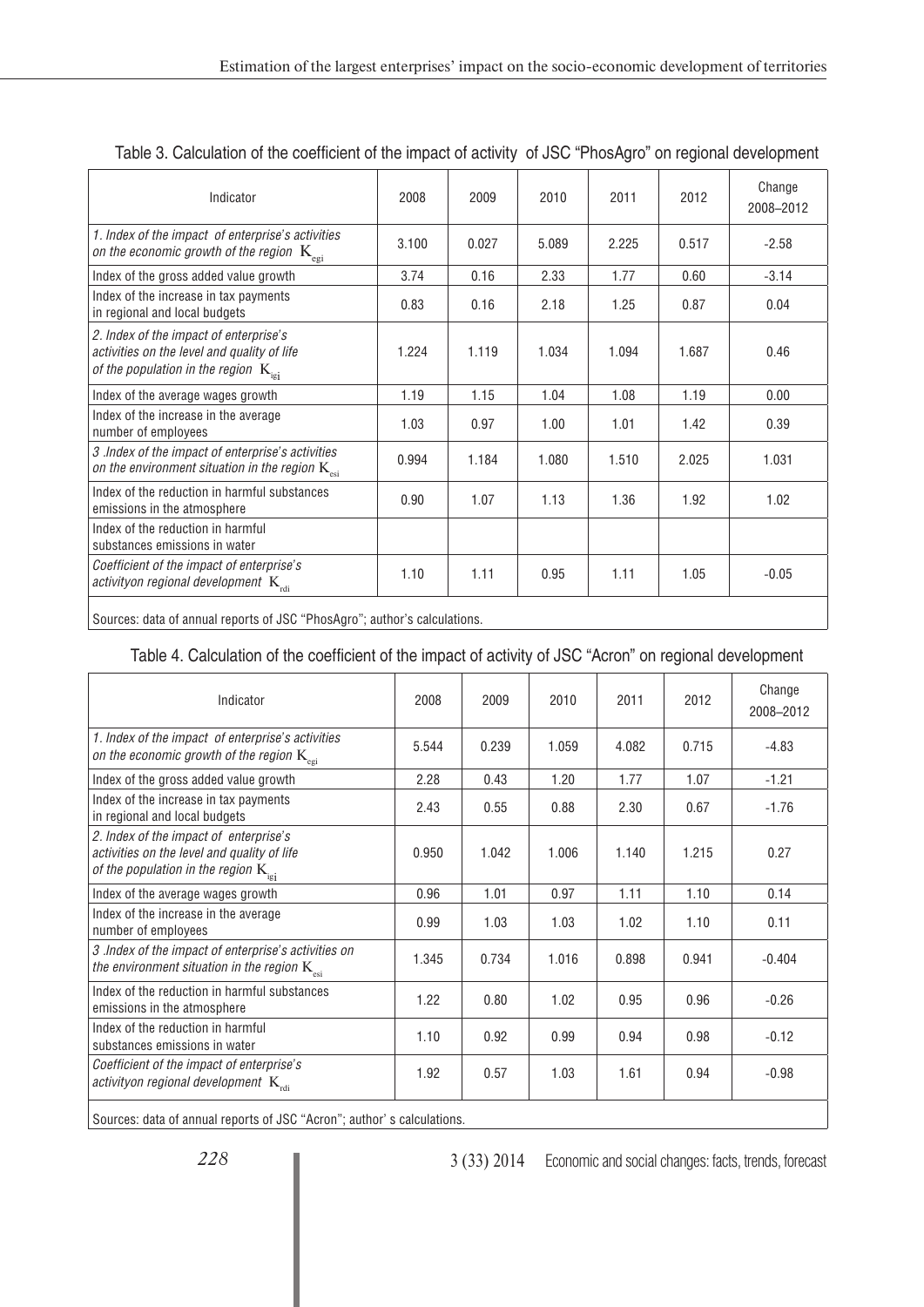| Indicator                                                                                                                                 | 2008  | 2009  | 2010  | 2011  | 2012  | Change<br>2008-2012 |
|-------------------------------------------------------------------------------------------------------------------------------------------|-------|-------|-------|-------|-------|---------------------|
| 1. Index of the impact of enterprise's activities<br>on the economic growth of the region $\ K_{\rm egi}$                                 | 3.100 | 0.027 | 5.089 | 2.225 | 0.517 | $-2.58$             |
| Index of the gross added value growth                                                                                                     | 3.74  | 0.16  | 2.33  | 1.77  | 0.60  | $-3.14$             |
| Index of the increase in tax payments<br>in regional and local budgets                                                                    | 0.83  | 0.16  | 2.18  | 1.25  | 0.87  | 0.04                |
| 2. Index of the impact of enterprise's<br>activities on the level and quality of life<br>of the population in the region $K_{\text{ini}}$ | 1.224 | 1.119 | 1.034 | 1.094 | 1.687 | 0.46                |
| Index of the average wages growth                                                                                                         | 1.19  | 1.15  | 1.04  | 1.08  | 1.19  | 0.00                |
| Index of the increase in the average<br>number of employees                                                                               | 1.03  | 0.97  | 1.00  | 1.01  | 1.42  | 0.39                |
| 3 .Index of the impact of enterprise's activities<br>on the environment situation in the region $K_{\text{est}}$                          | 0.994 | 1.184 | 1.080 | 1.510 | 2.025 | 1.031               |
| Index of the reduction in harmful substances<br>emissions in the atmosphere                                                               | 0.90  | 1.07  | 1.13  | 1.36  | 1.92  | 1.02                |
| Index of the reduction in harmful<br>substances emissions in water                                                                        |       |       |       |       |       |                     |
| Coefficient of the impact of enterprise's<br>activityon regional development $K_{\text{rel}}$                                             | 1.10  | 1.11  | 0.95  | 1.11  | 1.05  | $-0.05$             |
|                                                                                                                                           |       |       |       |       |       |                     |

### Table 3. Calculation of the coefficient of the impact of activity of JSC "PhosAgro" on regional development

Sources: data of annual reports of JSC "PhosAgro"; author's calculations.

#### Table 4. Calculation of the coefficient of the impact of activity of JSC "Acron" on regional development

| Indicator                                                                                                                                 | 2008  | 2009  | 2010  | 2011  | 2012  | Change<br>2008-2012 |
|-------------------------------------------------------------------------------------------------------------------------------------------|-------|-------|-------|-------|-------|---------------------|
| 1. Index of the impact of enterprise's activities<br>on the economic growth of the region $K_{\text{eq}}$                                 | 5.544 | 0.239 | 1.059 | 4.082 | 0.715 | $-4.83$             |
| Index of the gross added value growth                                                                                                     | 2.28  | 0.43  | 1.20  | 1.77  | 1.07  | $-1.21$             |
| Index of the increase in tax payments<br>in regional and local budgets                                                                    | 2.43  | 0.55  | 0.88  | 2.30  | 0.67  | $-1.76$             |
| 2. Index of the impact of enterprise's<br>activities on the level and quality of life<br>of the population in the region $K_{\text{ini}}$ | 0.950 | 1.042 | 1.006 | 1.140 | 1.215 | 0.27                |
| Index of the average wages growth                                                                                                         | 0.96  | 1.01  | 0.97  | 1.11  | 1.10  | 0.14                |
| Index of the increase in the average<br>number of employees                                                                               | 0.99  | 1.03  | 1.03  | 1.02  | 1.10  | 0.11                |
| 3 .Index of the impact of enterprise's activities on<br>the environment situation in the region $K_{est}$                                 | 1.345 | 0.734 | 1.016 | 0.898 | 0.941 | $-0.404$            |
| Index of the reduction in harmful substances<br>emissions in the atmosphere                                                               | 1.22  | 0.80  | 1.02  | 0.95  | 0.96  | $-0.26$             |
| Index of the reduction in harmful<br>substances emissions in water                                                                        | 1.10  | 0.92  | 0.99  | 0.94  | 0.98  | $-0.12$             |
| Coefficient of the impact of enterprise's<br>activityon regional development $K_{\text{rel}}$                                             | 1.92  | 0.57  | 1.03  | 1.61  | 0.94  | $-0.98$             |
|                                                                                                                                           |       |       |       |       |       |                     |

Sources: data of annual reports of JSC "Acron"; author' s calculations.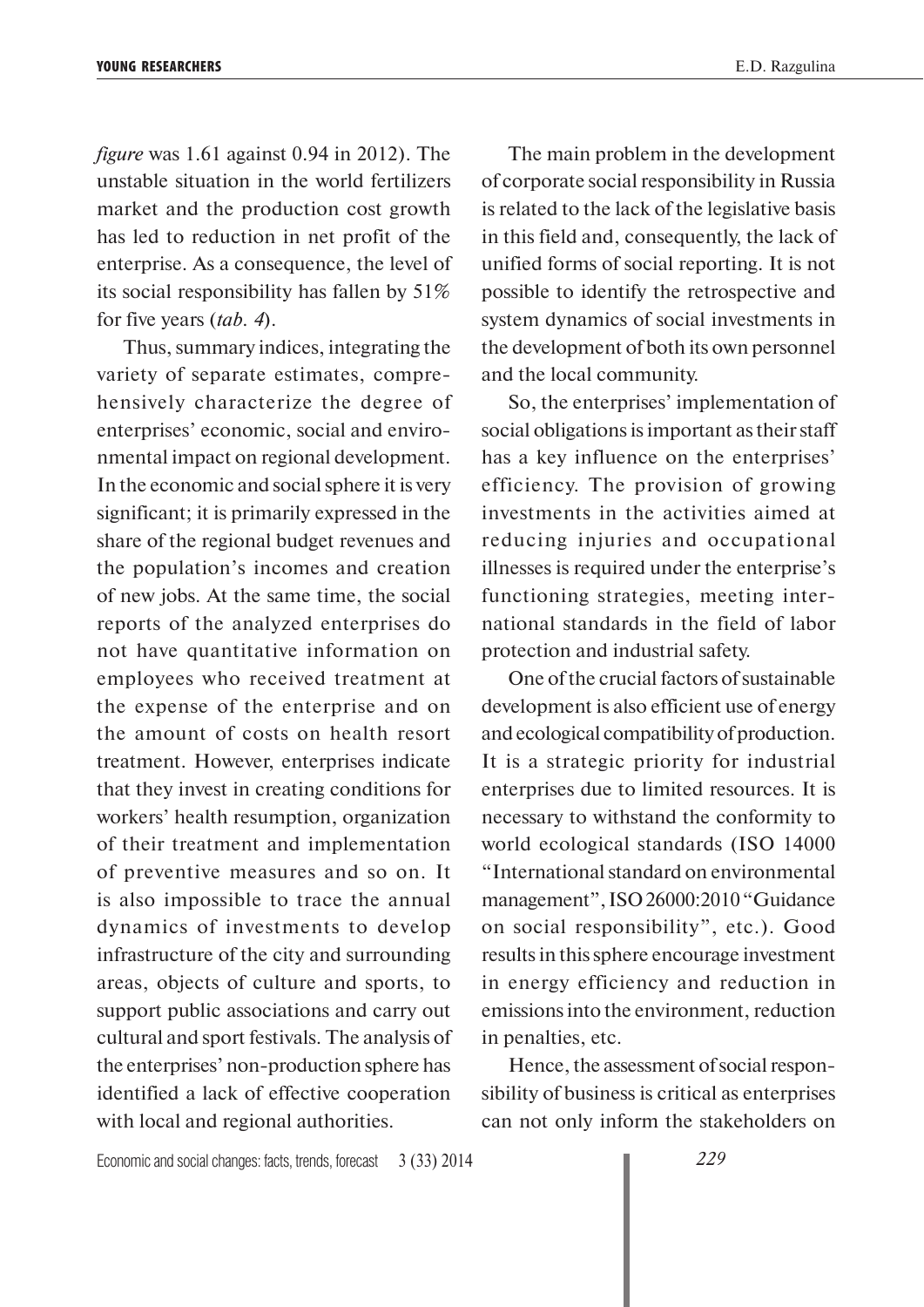*figure* was 1.61 against 0.94 in 2012). The unstable situation in the world fertilizers market and the production cost growth has led to reduction in net profit of the enterprise. As a consequence, the level of its social responsibility has fallen by 51% for five years (*tab. 4*).

Thus, summary indices, integrating the variety of separate estimates, comprehensively characterize the degree of enterprises' economic, social and environmental impact on regional development. In the economic and social sphere it is very significant; it is primarily expressed in the share of the regional budget revenues and the population's incomes and creation of new jobs. At the same time, the social reports of the analyzed enterprises do not have quantitative information on employees who received treatment at the expense of the enterprise and on the amount of costs on health resort treatment. However, enterprises indicate that they invest in creating conditions for workers' health resumption, organization of their treatment and implementation of preventive measures and so on. It is also impossible to trace the annual dynamics of investments to develop infrastructure of the city and surrounding areas, objects of culture and sports, to support public associations and carry out cultural and sport festivals. The analysis of the enterprises' non-production sphere has identified a lack of effective cooperation with local and regional authorities.

The main problem in the development of corporate social responsibility in Russia is related to the lack of the legislative basis in this field and, consequently, the lack of unified forms of social reporting. It is not possible to identify the retrospective and system dynamics of social investments in the development of both its own personnel and the local community.

So, the enterprises' implementation of social obligations is important as their staff has a key influence on the enterprises' efficiency. The provision of growing investments in the activities aimed at reducing injuries and occupational illnesses is required under the enterprise's functioning strategies, meeting international standards in the field of labor protection and industrial safety.

One of the crucial factors of sustainable development is also efficient use of energy and ecological compatibility of production. It is a strategic priority for industrial enterprises due to limited resources. It is necessary to withstand the conformity to world ecological standards (ISO 14000 "International standard on environmental management", ISO 26000:2010 "Guidance on social responsibility", etc.). Good results in this sphere encourage investment in energy efficiency and reduction in emissions into the environment, reduction in penalties, etc.

Hence, the assessment of social responsibility of business is critical as enterprises can not only inform the stakeholders on

Economic and social changes: facts, trends, forecast 3 (33) 2014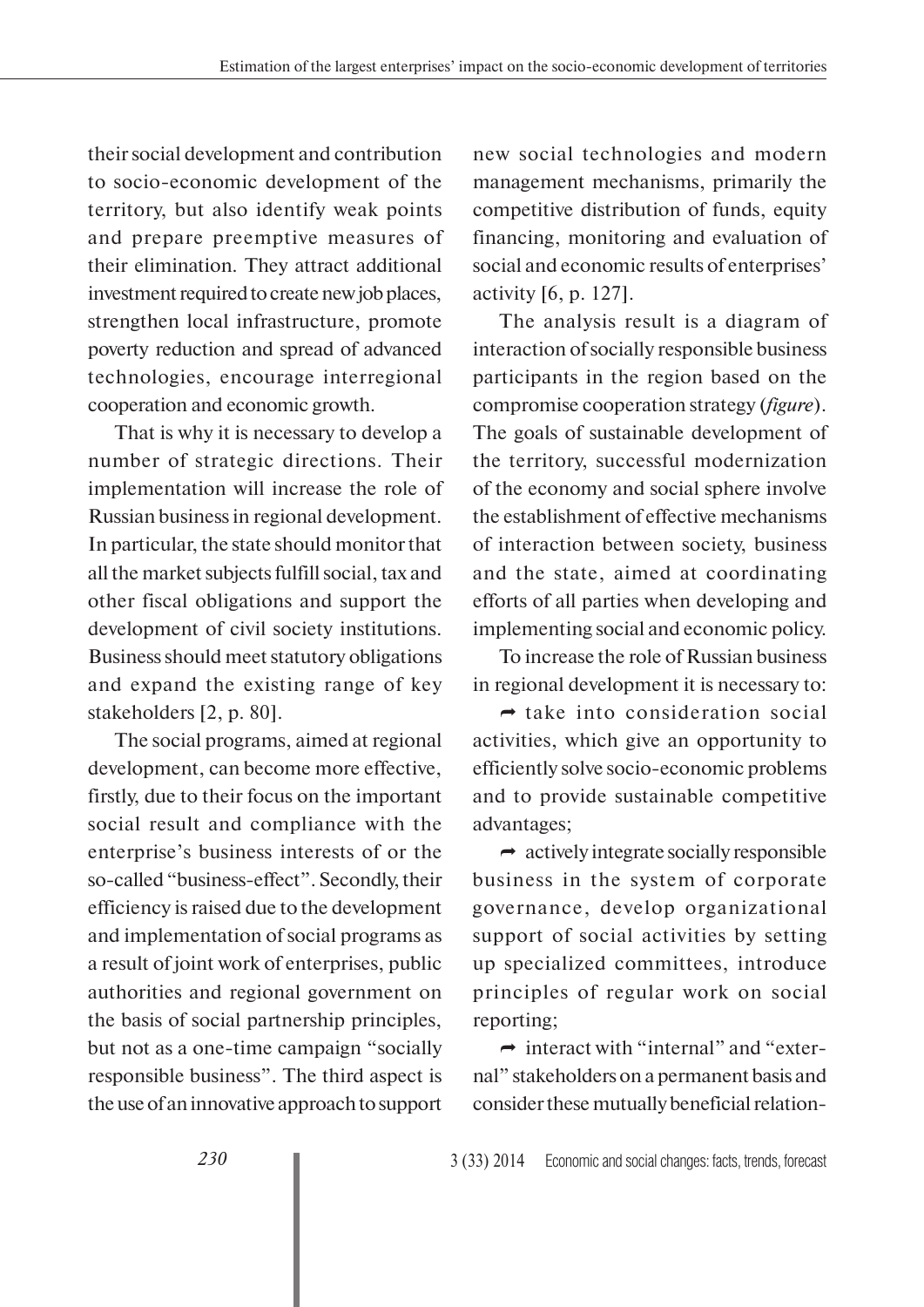their social development and contribution to socio-economic development of the territory, but also identify weak points and prepare preemptive measures of their elimination. They attract additional investment required to create new job places, strengthen local infrastructure, promote poverty reduction and spread of advanced technologies, encourage interregional cooperation and economic growth.

That is why it is necessary to develop a number of strategic directions. Their implementation will increase the role of Russian business in regional development. In particular, the state should monitor that all the market subjects fulfill social, tax and other fiscal obligations and support the development of civil society institutions. Business should meet statutory obligations and expand the existing range of key stakeholders [2, p. 80].

The social programs, aimed at regional development, can become more effective, firstly, due to their focus on the important social result and compliance with the enterprise's business interests of or the so-called "business-effect". Secondly, their efficiency is raised due to the development and implementation of social programs as a result of joint work of enterprises, public authorities and regional government on the basis of social partnership principles, but not as a one-time campaign "socially responsible business". The third aspect is the use of an innovative approach to support

new social technologies and modern management mechanisms, primarily the competitive distribution of funds, equity financing, monitoring and evaluation of social and economic results of enterprises' activity [6, p. 127].

The analysis result is a diagram of interaction of socially responsible business participants in the region based on the compromise cooperation strategy (*figure*). The goals of sustainable development of the territory, successful modernization of the economy and social sphere involve the establishment of effective mechanisms of interaction between society, business and the state, aimed at coordinating efforts of all parties when developing and implementing social and economic policy.

To increase the role of Russian business in regional development it is necessary to:

 $\rightarrow$  take into consideration social activities, which give an opportunity to efficiently solve socio-economic problems and to provide sustainable competitive advantages;

 $\rightarrow$  actively integrate socially responsible business in the system of corporate governance, develop organizational support of social activities by setting up specialized committees, introduce principles of regular work on social reporting;

 $\rightarrow$  interact with "internal" and "external" stakeholders on a permanent basis and consider these mutually beneficial relation-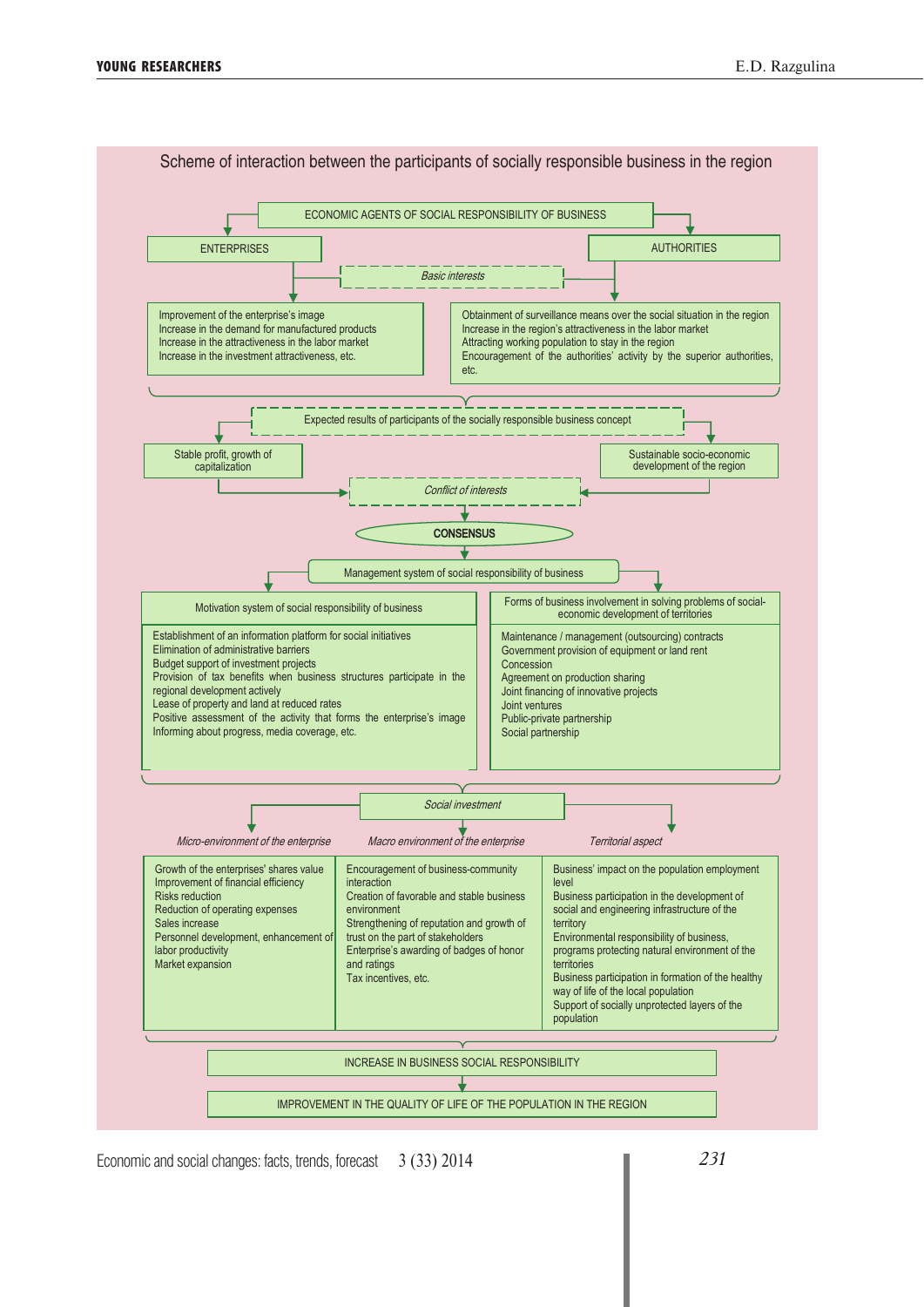

Scheme of interaction between the participants of socially responsible business in the region

Economic and social changes: facts, trends, forecast 3 (33) 2014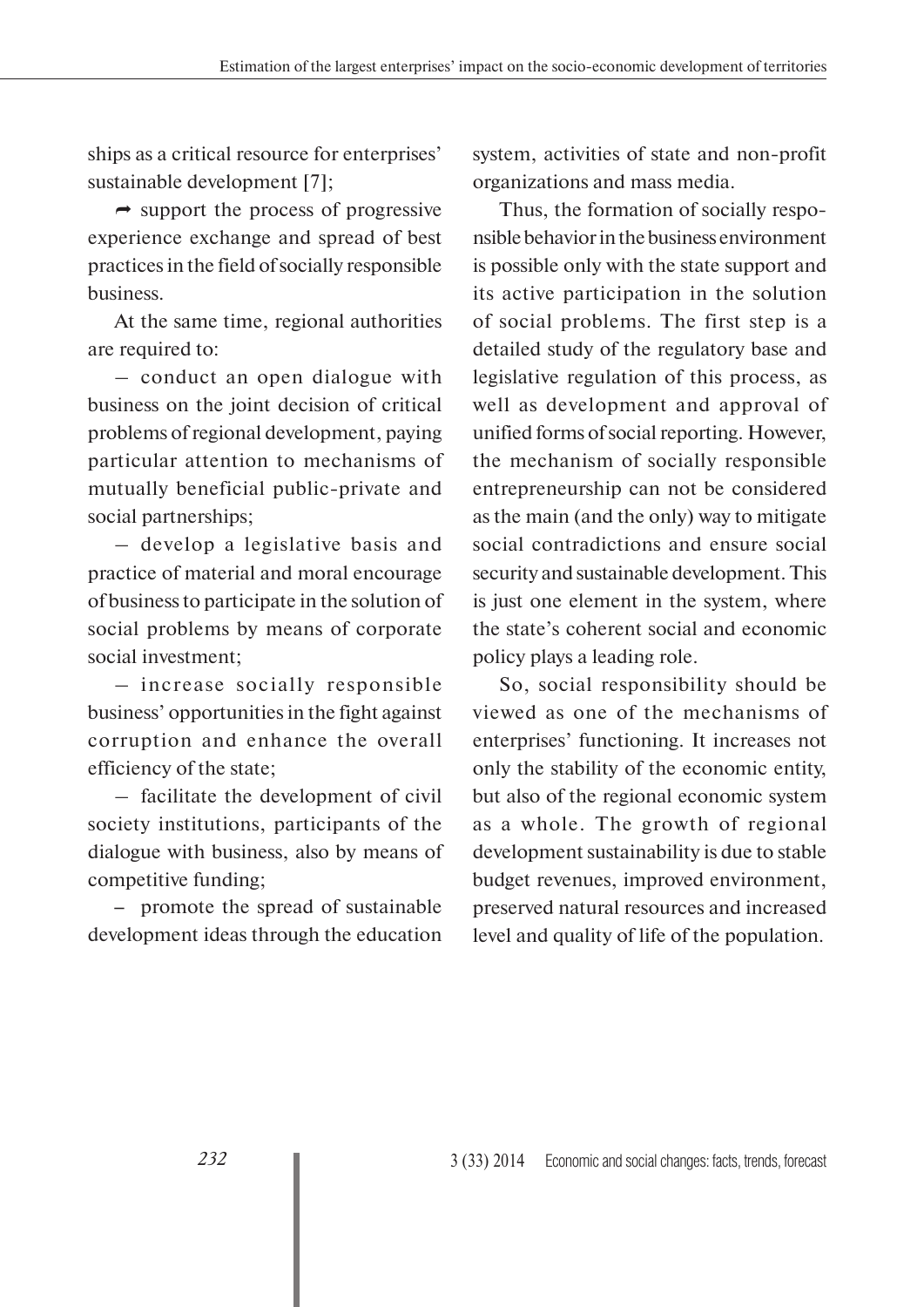ships as a critical resource for enterprises' sustainable development [7];

 $\rightarrow$  support the process of progressive experience exchange and spread of best practices in the field of socially responsible business.

At the same time, regional authorities are required to:

– conduct an open dialogue with business on the joint decision of critical problems of regional development, paying particular attention to mechanisms of mutually beneficial public-private and social partnerships;

– develop a legislative basis and practice of material and moral encourage of business to participate in the solution of social problems by means of corporate social investment;

– increase socially responsible business' opportunities in the fight against corruption and enhance the overall efficiency of the state;

– facilitate the development of civil society institutions, participants of the dialogue with business, also by means of competitive funding;

– promote the spread of sustainable development ideas through the education system, activities of state and non-profit organizations and mass media.

Thus, the formation of socially responsible behavior in the business environment is possible only with the state support and its active participation in the solution of social problems. The first step is a detailed study of the regulatory base and legislative regulation of this process, as well as development and approval of unified forms of social reporting. However, the mechanism of socially responsible entrepreneurship can not be considered as the main (and the only) way to mitigate social contradictions and ensure social security and sustainable development. This is just one element in the system, where the state's coherent social and economic policy plays a leading role.

So, social responsibility should be viewed as one of the mechanisms of enterprises' functioning. It increases not only the stability of the economic entity, but also of the regional economic system as a whole. The growth of regional development sustainability is due to stable budget revenues, improved environment, preserved natural resources and increased level and quality of life of the population.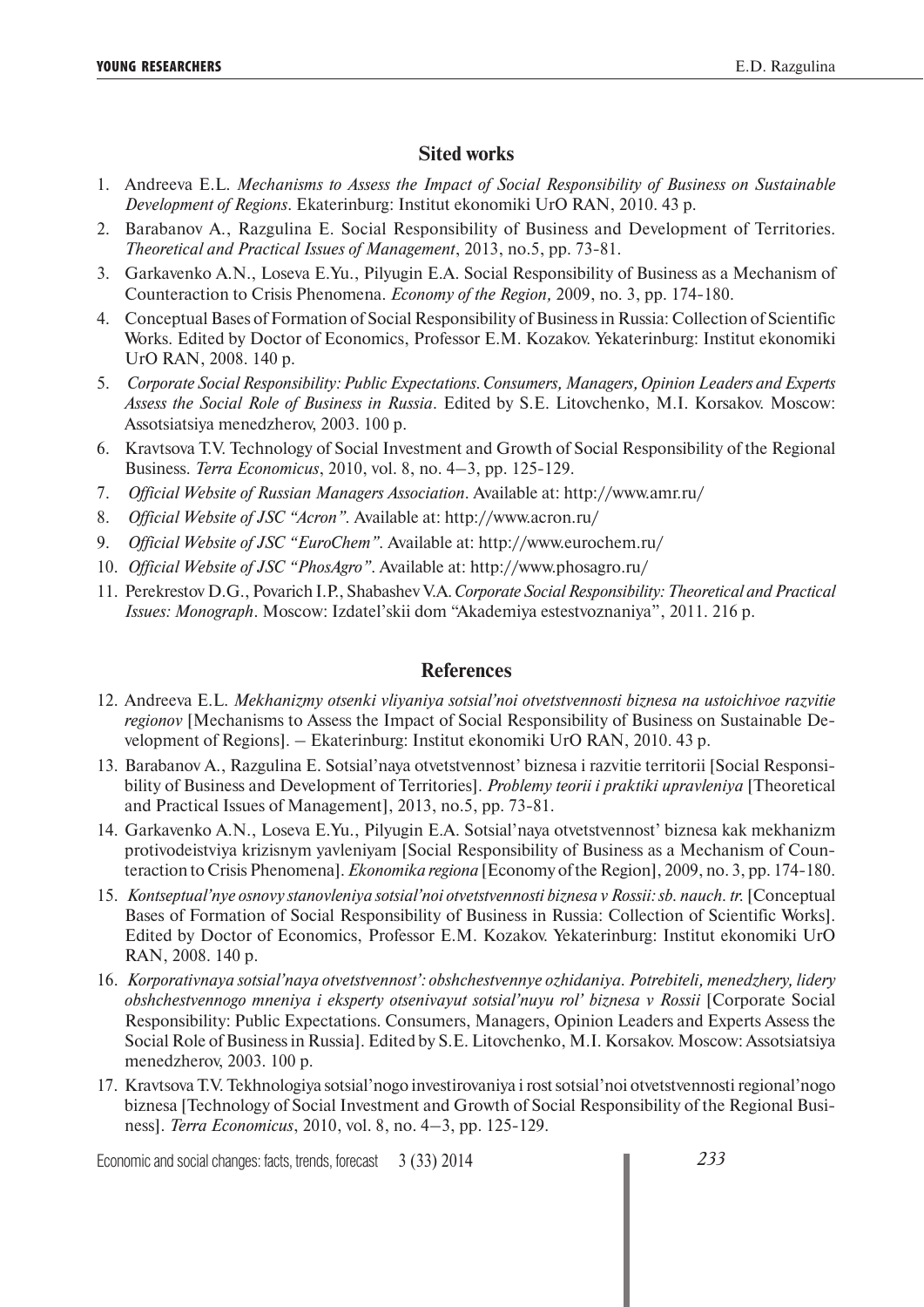## **Sited works**

- 1. Andreeva E.L. *Mechanisms to Assess the Impact of Social Responsibility of Business on Sustainable Development of Regions*. Ekaterinburg: Institut ekonomiki UrO RAN, 2010. 43 p.
- 2. Barabanov A., Razgulina E. Social Responsibility of Business and Development of Territories. *Theoretical and Practical Issues of Management*, 2013, no.5, pp. 73-81.
- 3. Garkavenko A.N., Loseva E.Yu., Pilyugin E.A. Social Responsibility of Business as a Mechanism of Counteraction to Crisis Phenomena. *Economy of the Region,* 2009, no. 3, pp. 174-180.
- 4. Conceptual Bases of Formation of Social Responsibility of Business in Russia: Collection of Scientific Works. Edited by Doctor of Economics, Professor E.M. Kozakov. Yekaterinburg: Institut ekonomiki UrO RAN, 2008. 140 p.
- 5. *Corporate Social Responsibility: Public Expectations. Consumers, Managers, Opinion Leaders and Experts Assess the Social Role of Business in Russia*. Edited by S.E. Litovchenko, M.I. Korsakov. Moscow: Assotsiatsiya menedzherov, 2003. 100 p.
- 6. Kravtsova T.V. Technology of Social Investment and Growth of Social Responsibility of the Regional Business. *Terra Economicus*, 2010, vol. 8, no. 4–3, pp. 125-129.
- 7. *Official Website of Russian Managers Association*. Available at: http://www.amr.ru/
- 8. *Official Website of JSC "Acron".* Available at: http://www.acron.ru/
- 9. *Official Website of JSC "EuroChem".* Available at: http://www.eurochem.ru/
- 10. *Official Website of JSC "PhosAgro"*. Available at: http://www.phosagro.ru/
- 11. Perekrestov D.G., Povarich I.P., Shabashev V.A. *Corporate Social Responsibility: Theoretical and Practical Issues: Monograph*. Moscow: Izdatel'skii dom "Akademiya estestvoznaniya", 2011. 216 p.

#### **References**

- 12. Andreeva E.L. *Mekhanizmy otsenki vliyaniya sotsial'noi otvetstvennosti biznesa na ustoichivoe razvitie regionov* [Mechanisms to Assess the Impact of Social Responsibility of Business on Sustainable Development of Regions]. – Ekaterinburg: Institut ekonomiki UrO RAN, 2010. 43 p.
- 13. Barabanov A., Razgulina E. Sotsial'naya otvetstvennost' biznesa i razvitie territorii [Social Responsibility of Business and Development of Territories]. *Problemy teorii i praktiki upravleniya* [Theoretical and Practical Issues of Management], 2013, no.5, pp. 73-81.
- 14. Garkavenko A.N., Loseva E.Yu., Pilyugin E.A. Sotsial'naya otvetstvennost' biznesa kak mekhanizm protivodeistviya krizisnym yavleniyam [Social Responsibility of Business as a Mechanism of Counteraction to Crisis Phenomena]. *Ekonomika regiona* [Economy of the Region], 2009, no. 3, pp. 174-180.
- 15. *Kontseptual'nye osnovy stanovleniya sotsial'noi otvetstvennosti biznesa v Rossii: sb. nauch. tr.* [Conceptual Bases of Formation of Social Responsibility of Business in Russia: Collection of Scientific Works]. Edited by Doctor of Economics, Professor E.M. Kozakov. Yekaterinburg: Institut ekonomiki UrO RAN, 2008. 140 p.
- 16. *Korporativnaya sotsial'naya otvetstvennost': obshchestvennye ozhidaniya. Potrebiteli, menedzhery, lidery obshchestvennogo mneniya i eksperty otsenivayut sotsial'nuyu rol' biznesa v Rossii* [Corporate Social Responsibility: Public Expectations. Consumers, Managers, Opinion Leaders and Experts Assess the Social Role of Business in Russia]. Edited by S.E. Litovchenko, M.I. Korsakov. Moscow: Assotsiatsiya menedzherov, 2003. 100 p.
- 17. Kravtsova T.V. Tekhnologiya sotsial'nogo investirovaniya i rost sotsial'noi otvetstvennosti regional'nogo biznesa [Technology of Social Investment and Growth of Social Responsibility of the Regional Business]. *Terra Economicus*, 2010, vol. 8, no. 4–3, pp. 125-129.

Economic and social changes: facts, trends, forecast 3 (33) 2014

*233*